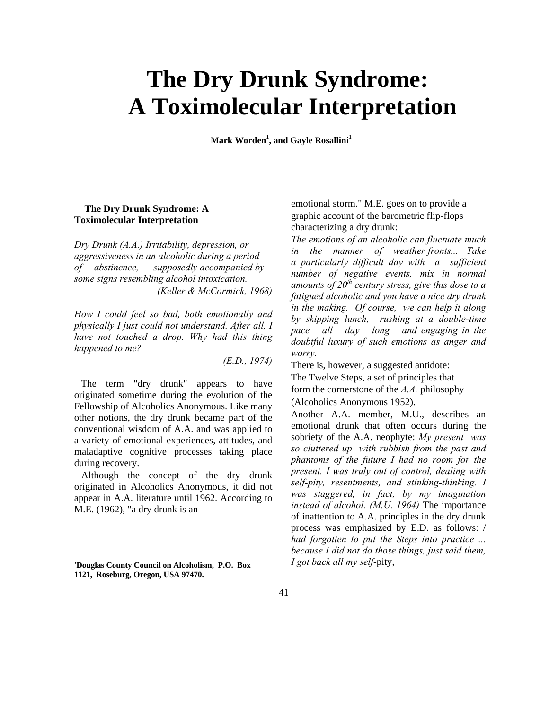## **The Dry Drunk Syndrome: A Toximolecular Interpretation**

**Mark Worden<sup>1</sup> , and Gayle Rosallini1**

## **The Dry Drunk Syndrome: A Toximolecular Interpretation**

*Dry Drunk (A.A.) Irritability, depression, or aggressiveness in an alcoholic during a period of abstinence, supposedly accompanied by some signs resembling alcohol intoxication. (Keller & McCormick, 1968)*

*How I could feel so bad, both emotionally and physically I just could not understand. After all, I have not touched a drop. Why had this thing happened to me?*

*(E.D., 1974)*

The term "dry drunk" appears to have originated sometime during the evolution of the Fellowship of Alcoholics Anonymous. Like many other notions, the dry drunk became part of the conventional wisdom of A.A. and was applied to a variety of emotional experiences, attitudes, and maladaptive cognitive processes taking place during recovery.

Although the concept of the dry drunk originated in Alcoholics Anonymous, it did not appear in A.A. literature until 1962. According to M.E. (1962), "a dry drunk is an

**'Douglas County Council on Alcoholism, P.O. Box 1121, Roseburg, Oregon, USA 97470.**

emotional storm." M.E. goes on to provide a graphic account of the barometric flip-flops characterizing a dry drunk:

*The emotions of an alcoholic can fluctuate much in the manner of weather fronts... Take a particularly difficult day with a sufficient number of negative events, mix in normal amounts of 20th century stress, give this dose to a fatigued alcoholic and you have a nice dry drunk in the making. Of course, we can help it along by skipping lunch, rushing at a double-time pace all day long and engaging in the doubtful luxury of such emotions as anger and worry.*

There is, however, a suggested antidote:

The Twelve Steps, a set of principles that form the cornerstone of the *A.A.* philosophy (Alcoholics Anonymous 1952).

Another A.A. member, M.U., describes an emotional drunk that often occurs during the sobriety of the A.A. neophyte: *My present was so cluttered up with rubbish from the past and phantoms of the future I had no room for the present. I was truly out of control, dealing with self-pity, resentments, and stinking-thinking. I was staggered, in fact, by my imagination instead of alcohol. (M.U. 1964)* The importance of inattention to A.A. principles in the dry drunk process was emphasized by E.D. as follows: / *had forgotten to put the Steps into practice ... because I did not do those things, just said them, I got back all my self-*pity,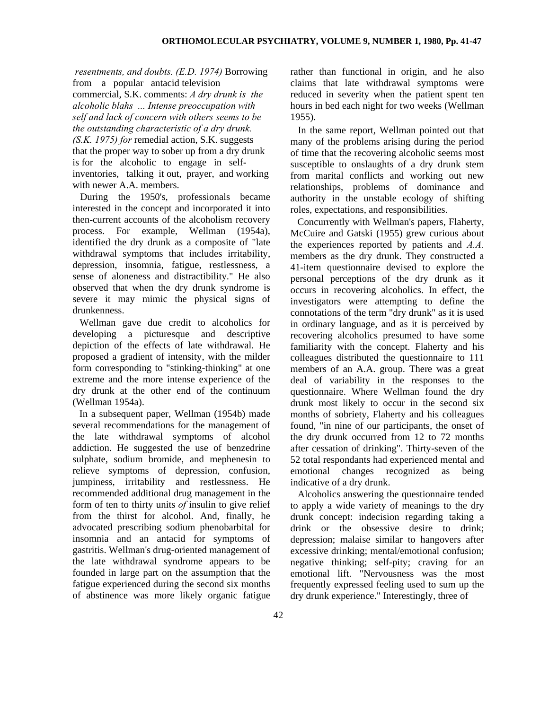*resentments, and doubts. (E.D. 1974)* Borrowing

from a popular antacid television commercial, S.K. comments: *A dry drunk is the alcoholic blahs ... Intense preoccupation with self and lack of concern with others seems to be the outstanding characteristic of a dry drunk. (S.K. 1975) for* remedial action, S.K. suggests that the proper way to sober up from a dry drunk is for the alcoholic to engage in selfinventories, talking it out, prayer, and working with newer A.A. members.

During the 1950's, professionals became interested in the concept and incorporated it into then-current accounts of the alcoholism recovery process. For example, Wellman (1954a), identified the dry drunk as a composite of "late withdrawal symptoms that includes irritability, depression, insomnia, fatigue, restlessness, a sense of aloneness and distractibility." He also observed that when the dry drunk syndrome is severe it may mimic the physical signs of drunkenness.

Wellman gave due credit to alcoholics for developing a picturesque and descriptive depiction of the effects of late withdrawal. He proposed a gradient of intensity, with the milder form corresponding to "stinking-thinking" at one extreme and the more intense experience of the dry drunk at the other end of the continuum (Wellman 1954a).

In a subsequent paper, Wellman (1954b) made several recommendations for the management of the late withdrawal symptoms of alcohol addiction. He suggested the use of benzedrine sulphate, sodium bromide, and mephenesin to relieve symptoms of depression, confusion, jumpiness, irritability and restlessness. He recommended additional drug management in the form of ten to thirty units *of* insulin to give relief from the thirst for alcohol. And, finally, he advocated prescribing sodium phenobarbital for insomnia and an antacid for symptoms of gastritis. Wellman's drug-oriented management of the late withdrawal syndrome appears to be founded in large part on the assumption that the fatigue experienced during the second six months of abstinence was more likely organic fatigue rather than functional in origin, and he also claims that late withdrawal symptoms were reduced in severity when the patient spent ten hours in bed each night for two weeks (Wellman 1955).

In the same report, Wellman pointed out that many of the problems arising during the period of time that the recovering alcoholic seems most susceptible to onslaughts of a dry drunk stem from marital conflicts and working out new relationships, problems of dominance and authority in the unstable ecology of shifting roles, expectations, and responsibilities.

Concurrently with Wellman's papers, Flaherty, McCuire and Gatski (1955) grew curious about the experiences reported by patients and *A.A.*  members as the dry drunk. They constructed a 41-item questionnaire devised to explore the personal perceptions of the dry drunk as it occurs in recovering alcoholics. In effect, the investigators were attempting to define the connotations of the term "dry drunk" as it is used in ordinary language, and as it is perceived by recovering alcoholics presumed to have some familiarity with the concept. Flaherty and his colleagues distributed the questionnaire to 111 members of an A.A. group. There was a great deal of variability in the responses to the questionnaire. Where Wellman found the dry drunk most likely to occur in the second six months of sobriety, Flaherty and his colleagues found, "in nine of our participants, the onset of the dry drunk occurred from 12 to 72 months after cessation of drinking". Thirty-seven of the 52 total respondants had experienced mental and emotional changes recognized as being indicative of a dry drunk.

Alcoholics answering the questionnaire tended to apply a wide variety of meanings to the dry drunk concept: indecision regarding taking a drink or the obsessive desire to drink; depression; malaise similar to hangovers after excessive drinking; mental/emotional confusion; negative thinking; self-pity; craving for an emotional lift. "Nervousness was the most frequently expressed feeling used to sum up the dry drunk experience." Interestingly, three of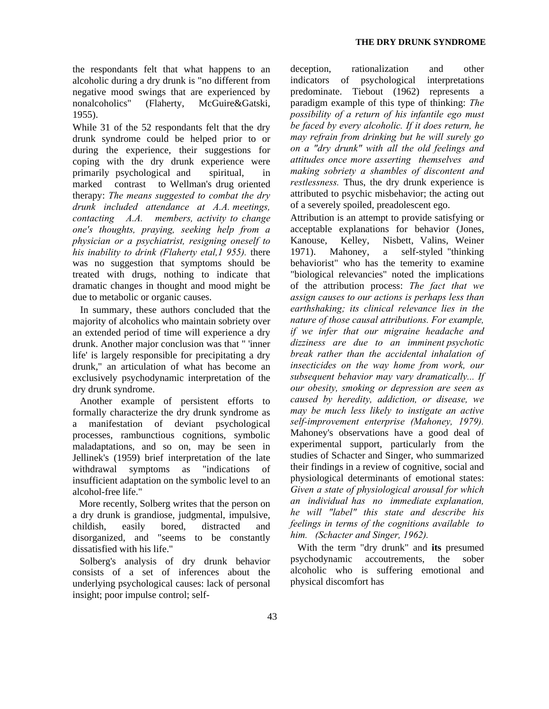the respondants felt that what happens to an alcoholic during a dry drunk is "no different from negative mood swings that are experienced by nonalcoholics" (Flaherty, McGuire&Gatski, 1955).

While 31 of the 52 respondants felt that the dry drunk syndrome could be helped prior to or during the experience, their suggestions for coping with the dry drunk experience were primarily psychological and spiritual, in marked contrast to Wellman's drug oriented therapy: *The means suggested to combat the dry drunk included attendance at A.A. meetings, contacting A.A. members, activity to change one's thoughts, praying, seeking help from a physician or a psychiatrist, resigning oneself to his inability to drink (Flaherty etal,1 955).* there was no suggestion that symptoms should be treated with drugs, nothing to indicate that dramatic changes in thought and mood might be due to metabolic or organic causes.

In summary, these authors concluded that the majority of alcoholics who maintain sobriety over an extended period of time will experience a dry drunk. Another major conclusion was that " 'inner life' is largely responsible for precipitating a dry drunk," an articulation of what has become an exclusively psychodynamic interpretation of the dry drunk syndrome.

Another example of persistent efforts to formally characterize the dry drunk syndrome as a manifestation of deviant psychological processes, rambunctious cognitions, symbolic maladaptations, and so on, may be seen in Jellinek's (1959) brief interpretation of the late withdrawal symptoms as "indications of insufficient adaptation on the symbolic level to an alcohol-free life."

More recently, Solberg writes that the person on a dry drunk is grandiose, judgmental, impulsive, childish, easily bored, distracted and disorganized, and "seems to be constantly dissatisfied with his life."

Solberg's analysis of dry drunk behavior consists of a set of inferences about the underlying psychological causes: lack of personal insight; poor impulse control; self-

deception, rationalization and other indicators of psychological interpretations predominate. Tiebout (1962) represents a paradigm example of this type of thinking: *The possibility of a return of his infantile ego must be faced by every alcoholic. If it does return, he may refrain from drinking but he will surely go on a "dry drunk" with all the old feelings and attitudes once more asserting themselves and making sobriety a shambles of discontent and restlessness.* Thus, the dry drunk experience is attributed to psychic misbehavior; the acting out of a severely spoiled, preadolescent ego.

Attribution is an attempt to provide satisfying or acceptable explanations for behavior (Jones, Kanouse, Kelley, Nisbett, Valins, Weiner 1971). Mahoney, a self-styled "thinking behaviorist" who has the temerity to examine "biological relevancies" noted the implications of the attribution process: *The fact that we assign causes to our actions is perhaps less than earthshaking; its clinical relevance lies in the nature of those causal attributions. For example, if we infer that our migraine headache and dizziness are due to an imminent psychotic break rather than the accidental inhalation of insecticides on the way home from work, our subsequent behavior may vary dramatically... If our obesity, smoking or depression are seen as caused by heredity, addiction, or disease, we may be much less likely to instigate an active self-improvement enterprise (Mahoney, 1979).*  Mahoney's observations have a good deal of experimental support, particularly from the studies of Schacter and Singer, who summarized their findings in a review of cognitive, social and physiological determinants of emotional states: *Given a state of physiological arousal for which an individual has no immediate explanation, he will "label" this state and describe his feelings in terms of the cognitions available to him. (Schacter and Singer, 1962).*

With the term "dry drunk" and **its** presumed psychodynamic accoutrements, the sober alcoholic who is suffering emotional and physical discomfort has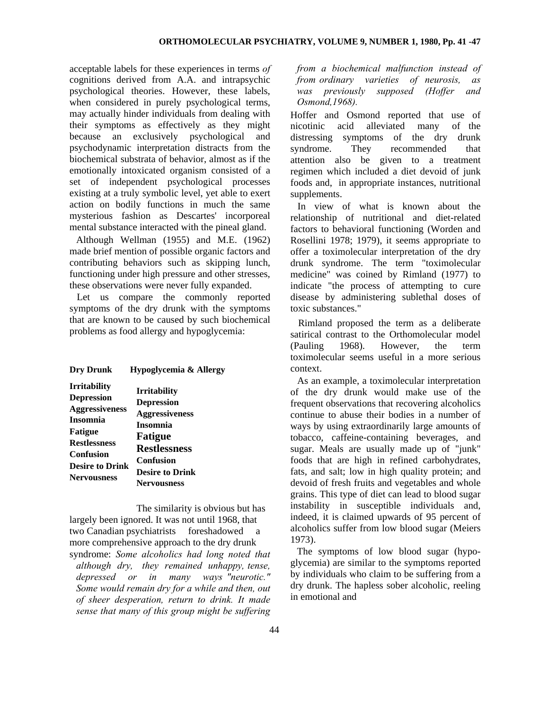acceptable labels for these experiences in terms *of*  cognitions derived from A.A. and intrapsychic psychological theories. However, these labels, when considered in purely psychological terms, may actually hinder individuals from dealing with their symptoms as effectively as they might because an exclusively psychological and psychodynamic interpretation distracts from the biochemical substrata of behavior, almost as if the emotionally intoxicated organism consisted of a set of independent psychological processes existing at a truly symbolic level, yet able to exert action on bodily functions in much the same mysterious fashion as Descartes' incorporeal mental substance interacted with the pineal gland.

Although Wellman (1955) and M.E. (1962) made brief mention of possible organic factors and contributing behaviors such as skipping lunch, functioning under high pressure and other stresses, these observations were never fully expanded.

Let us compare the commonly reported symptoms of the dry drunk with the symptoms that are known to be caused by such biochemical problems as food allergy and hypoglycemia:

| <b>Irritability</b>    | <b>Irritability</b><br><b>Depression</b><br><b>Aggressiveness</b><br><b>Insomnia</b> |
|------------------------|--------------------------------------------------------------------------------------|
| <b>Depression</b>      |                                                                                      |
| <b>Aggressiveness</b>  |                                                                                      |
| <b>Insomnia</b>        |                                                                                      |
| <b>Fatigue</b>         |                                                                                      |
| <b>Restlessness</b>    | <b>Fatigue</b>                                                                       |
|                        | <b>Restlessness</b>                                                                  |
| <b>Confusion</b>       | <b>Confusion</b>                                                                     |
| <b>Desire to Drink</b> | <b>Desire to Drink</b>                                                               |
| <b>Nervousness</b>     |                                                                                      |
|                        | <b>Nervousness</b>                                                                   |

The similarity is obvious but has largely been ignored. It was not until 1968, that two Canadian psychiatrists foreshadowed a more comprehensive approach to the dry drunk syndrome: *Some alcoholics had long noted that although dry, they remained unhappy, tense, depressed or in many ways "neurotic." Some would remain dry for a while and then, out of sheer desperation, return to drink. It made sense that many of this group might be suffering*  *from a biochemical malfunction instead of from ordinary varieties of neurosis, as was previously supposed (Hoffer and Osmond,1968).*

Hoffer and Osmond reported that use of nicotinic acid alleviated many of the distressing symptoms of the dry drunk syndrome. They recommended that attention also be given to a treatment regimen which included a diet devoid of junk foods and, in appropriate instances, nutritional supplements.

In view of what is known about the relationship of nutritional and diet-related factors to behavioral functioning (Worden and Rosellini 1978; 1979), it seems appropriate to offer a toximolecular interpretation of the dry drunk syndrome. The term "toximolecular medicine" was coined by Rimland (1977) to indicate "the process of attempting to cure disease by administering sublethal doses of toxic substances."

Rimland proposed the term as a deliberate satirical contrast to the Orthomolecular model (Pauling 1968). However, the term toximolecular seems useful in a more serious context.

As an example, a toximolecular interpretation of the dry drunk would make use of the frequent observations that recovering alcoholics continue to abuse their bodies in a number of ways by using extraordinarily large amounts of tobacco, caffeine-containing beverages, and sugar. Meals are usually made up of "junk" foods that are high in refined carbohydrates, fats, and salt; low in high quality protein; and devoid of fresh fruits and vegetables and whole grains. This type of diet can lead to blood sugar instability in susceptible individuals and, indeed, it is claimed upwards of 95 percent of alcoholics suffer from low blood sugar (Meiers 1973).

The symptoms of low blood sugar (hypoglycemia) are similar to the symptoms reported by individuals who claim to be suffering from a dry drunk. The hapless sober alcoholic, reeling in emotional and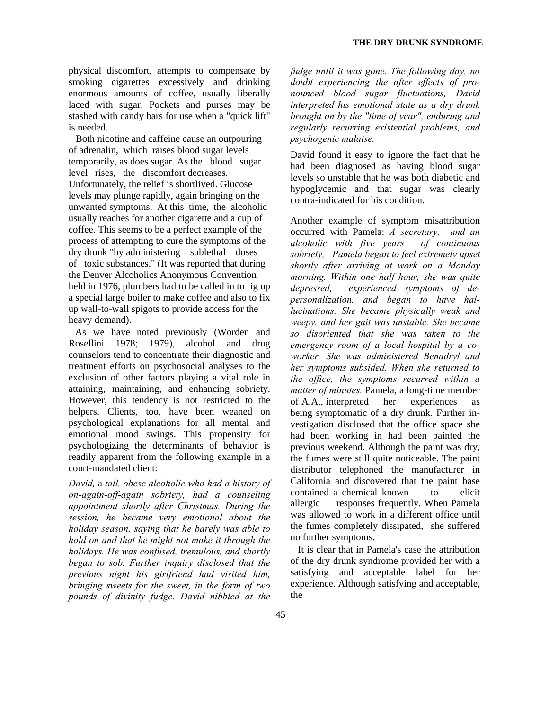physical discomfort, attempts to compensate by smoking cigarettes excessively and drinking enormous amounts of coffee, usually liberally laced with sugar. Pockets and purses may be stashed with candy bars for use when a "quick lift" is needed.

Both nicotine and caffeine cause an outpouring of adrenalin, which raises blood sugar levels temporarily, as does sugar. As the blood sugar level rises, the discomfort decreases. Unfortunately, the relief is shortlived. Glucose levels may plunge rapidly, again bringing on the unwanted symptoms. At this time, the alcoholic usually reaches for another cigarette and a cup of coffee. This seems to be a perfect example of the process of attempting to cure the symptoms of the dry drunk "by administering sublethal doses of toxic substances." (It was reported that during the Denver Alcoholics Anonymous Convention held in 1976, plumbers had to be called in to rig up a special large boiler to make coffee and also to fix up wall-to-wall spigots to provide access for the heavy demand).

As we have noted previously (Worden and Rosellini 1978; 1979), alcohol and drug counselors tend to concentrate their diagnostic and treatment efforts on psychosocial analyses to the exclusion of other factors playing a vital role in attaining, maintaining, and enhancing sobriety. However, this tendency is not restricted to the helpers. Clients, too, have been weaned on psychological explanations for all mental and emotional mood swings. This propensity for psychologizing the determinants of behavior is readily apparent from the following example in a court-mandated client:

*David,* a *tall, obese alcoholic who had a history of on-again-off-again sobriety, had a counseling appointment shortly after Christmas. During the session, he became very emotional about the holiday season, saying that he barely was able to hold on and that he might not make it through the holidays. He was confused, tremulous, and shortly began to sob. Further inquiry disclosed that the previous night his girlfriend had visited him, bringing sweets for the sweet, in the form of two pounds of divinity fudge. David nibbled at the* 

*fudge until it was gone. The following day, no doubt experiencing the after effects of pronounced blood sugar fluctuations, David interpreted his emotional state as a dry drunk brought on by the "time of year", enduring and regularly recurring existential problems, and psychogenic malaise.*

David found it easy to ignore the fact that he had been diagnosed as having blood sugar levels so unstable that he was both diabetic and hypoglycemic and that sugar was clearly contra-indicated for his condition.

Another example of symptom misattribution occurred with Pamela: *A secretary, and an alcoholic with five years of continuous sobriety, Pamela began to feel extremely upset shortly after arriving at work on a Monday morning. Within one half hour, she was quite depressed, experienced symptoms of depersonalization, and began to have hallucinations. She became physically weak and weepy, and her gait was unstable. She became so disoriented that she was taken to the emergency room of a local hospital by a coworker. She was administered Benadryl and her symptoms subsided. When she returned to the office, the symptoms recurred within a matter of minutes.* Pamela, a long-time member of A.A., interpreted her experiences as being symptomatic of a dry drunk. Further investigation disclosed that the office space she had been working in had been painted the previous weekend. Although the paint was dry, the fumes were still quite noticeable. The paint distributor telephoned the manufacturer in California and discovered that the paint base contained a chemical known to elicit allergic responses frequently. When Pamela was allowed to work in a different office until the fumes completely dissipated, she suffered no further symptoms.

It is clear that in Pamela's case the attribution of the dry drunk syndrome provided her with a satisfying and acceptable label for her experience. Although satisfying and acceptable, the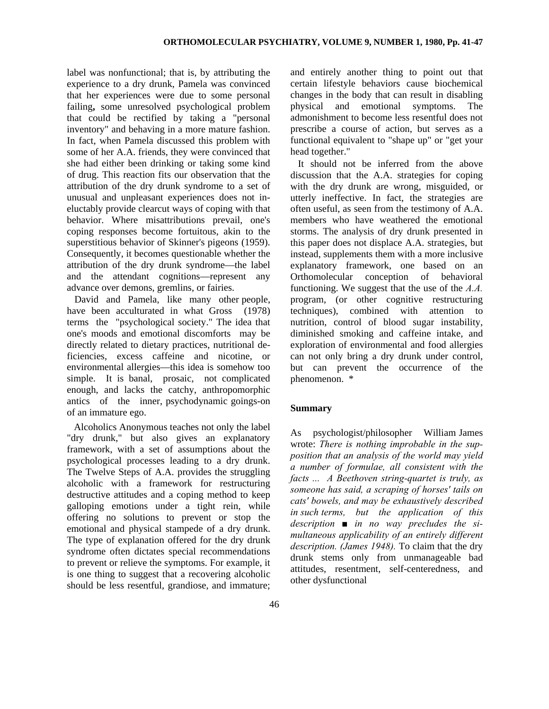label was nonfunctional; that is, by attributing the experience to a dry drunk, Pamela was convinced that her experiences were due to some personal failing**,** some unresolved psychological problem that could be rectified by taking a "personal inventory" and behaving in a more mature fashion. In fact, when Pamela discussed this problem with some of her A.A. friends, they were convinced that she had either been drinking or taking some kind of drug. This reaction fits our observation that the attribution of the dry drunk syndrome to a set of unusual and unpleasant experiences does not ineluctably provide clearcut ways of coping with that behavior. Where misattributions prevail, one's coping responses become fortuitous, akin to the superstitious behavior of Skinner's pigeons (1959). Consequently, it becomes questionable whether the attribution of the dry drunk syndrome—the label and the attendant cognitions—represent any advance over demons, gremlins, or fairies.

David and Pamela, like many other people, have been acculturated in what Gross (1978) terms the "psychological society." The idea that one's moods and emotional discomforts may be directly related to dietary practices, nutritional deficiencies, excess caffeine and nicotine, or environmental allergies—this idea is somehow too simple. It is banal, prosaic, not complicated enough, and lacks the catchy, anthropomorphic antics of the inner, psychodynamic goings-on of an immature ego.

Alcoholics Anonymous teaches not only the label "dry drunk," but also gives an explanatory framework, with a set of assumptions about the psychological processes leading to a dry drunk. The Twelve Steps of A.A. provides the struggling alcoholic with a framework for restructuring destructive attitudes and a coping method to keep galloping emotions under a tight rein, while offering no solutions to prevent or stop the emotional and physical stampede of a dry drunk. The type of explanation offered for the dry drunk syndrome often dictates special recommendations to prevent or relieve the symptoms. For example, it is one thing to suggest that a recovering alcoholic should be less resentful, grandiose, and immature; and entirely another thing to point out that certain lifestyle behaviors cause biochemical changes in the body that can result in disabling physical and emotional symptoms. The admonishment to become less resentful does not prescribe a course of action, but serves as a functional equivalent to "shape up" or "get your head together."

It should not be inferred from the above discussion that the A.A. strategies for coping with the dry drunk are wrong, misguided, or utterly ineffective. In fact, the strategies are often useful, as seen from the testimony of A.A. members who have weathered the emotional storms. The analysis of dry drunk presented in this paper does not displace A.A. strategies, but instead, supplements them with a more inclusive explanatory framework, one based on an Orthomolecular conception of behavioral functioning. We suggest that the use of the *A.A.*  program, (or other cognitive restructuring techniques), combined with attention to nutrition, control of blood sugar instability, diminished smoking and caffeine intake, and exploration of environmental and food allergies can not only bring a dry drunk under control, but can prevent the occurrence of the phenomenon. \*

## **Summary**

As psychologist/philosopher William James wrote: *There is nothing improbable in the supposition that an analysis of the world may yield a number of formulae, all consistent with the facts ... A Beethoven string-quartet is truly, as someone has said, a scraping of horses' tails on cats' bowels, and may be exhaustively described in such terms, but the application of this description ■ in no way precludes the simultaneous applicability of an entirely different description. (James 1948).* To claim that the dry drunk stems only from unmanageable bad attitudes, resentment, self-centeredness, and other dysfunctional